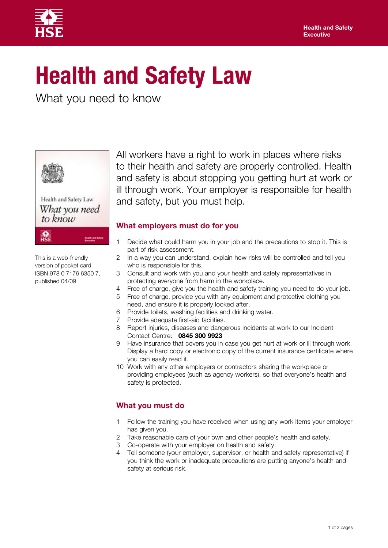

# **Health and Safety Law**

What you need to know



Health and Safety Law What vou need to know  $rac{Q}{HSE}$ 

All workers have a right to work in places where risks to their health and safety are properly controlled. Health and safety is about stopping you getting hurt at work or ill through work. Your employer is responsible for health and safety, but you must help.

## **What employers must do for you**

- 1 Decide what could harm you in your job and the precautions to stop it. This is part of risk assessment.
- This is a web-friendly 2 In a way you can understand, explain how risks will be controlled and tell you version of pocket card who is responsible for this.
- ISBN 978 0 7176 6350 7, 3 Consult and work with you and your health and safety representatives in published 04/09 protecting everyone from harm in the workplace.
	- 4 Free of charge, give you the health and safety training you need to do your job.
	- 5 Free of charge, provide you with any equipment and protective clothing you need, and ensure it is properly looked after.
	- 6 Provide toilets, washing facilities and drinking water.
	- 7 Provide adequate first-aid facilities.
	- 8 Report injuries, diseases and dangerous incidents at work to our Incident Contact Centre: **0845 300 9923**
	- 9 Have insurance that covers you in case you get hurt at work or ill through work. Display a hard copy or electronic copy of the current insurance certificate where you can easily read it.
	- 10 Work with any other employers or contractors sharing the workplace or providing employees (such as agency workers), so that everyone's health and safety is protected.

## **What you must do**

- 1 Follow the training you have received when using any work items your employer has given you.
- 2 Take reasonable care of your own and other people's health and safety.
- 3 Co-operate with your employer on health and safety.
- 4 Tell someone (your employer, supervisor, or health and safety representative) if you think the work or inadequate precautions are putting anyone's health and safety at serious risk.